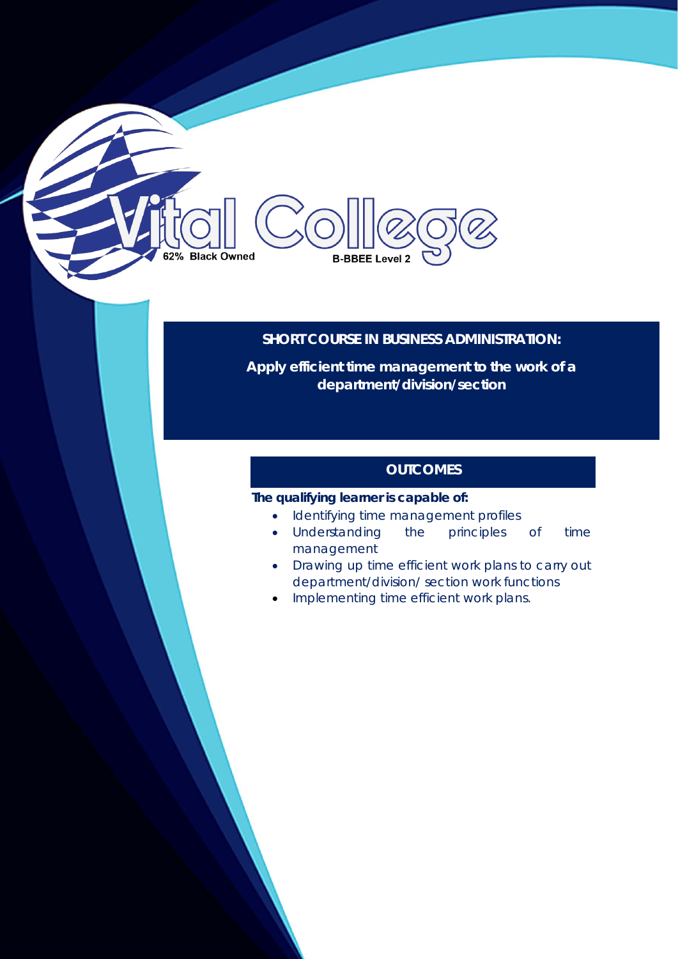# 62% Black Owned **B-BBEE Level 2**

## **SHORT COURSE IN BUSINESS ADMINISTRATION:**

**Apply efficient time management to the work of a department/division/section**

## **OUTCOMES**

## **The qualifying learner is capable of:**

- Identifying time management profiles
- Understanding the principles of time management
- Drawing up time efficient work plans to carry out department/division/ section work functions
- Implementing time efficient work plans.